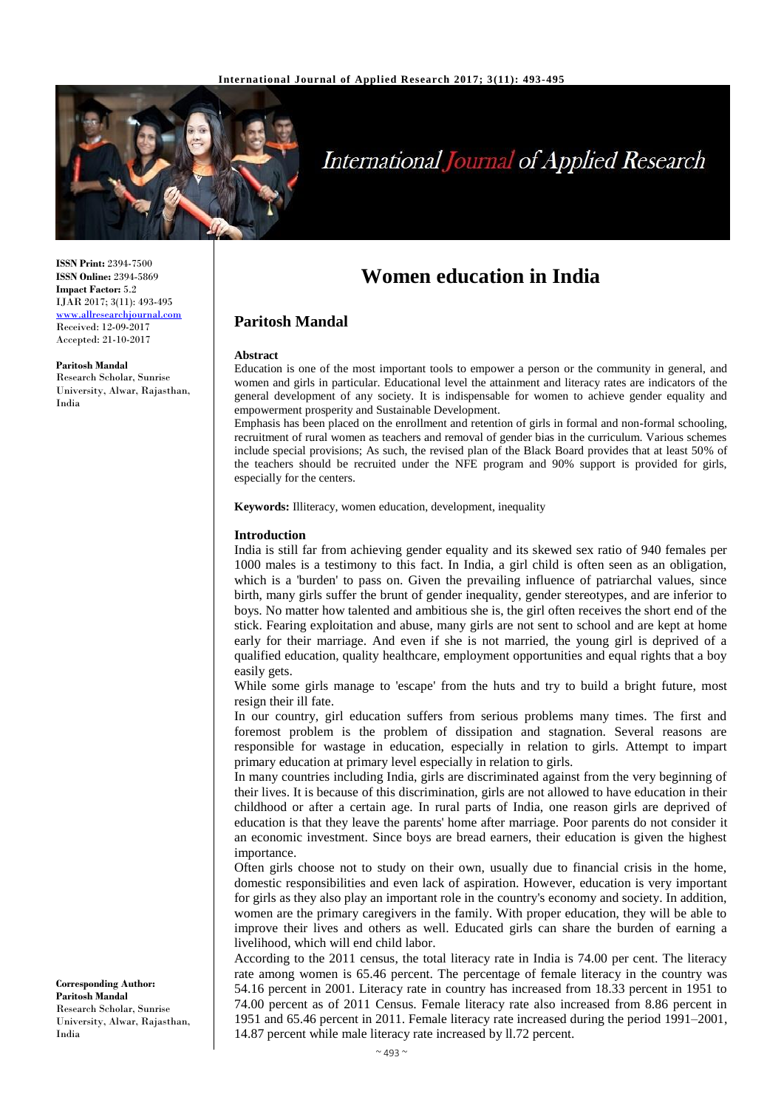

# **International Journal of Applied Research**

**ISSN Print:** 2394-7500 **ISSN Online:** 2394-5869 **Impact Factor:** 5.2 IJAR 2017; 3(11): 493-495 [www.allresearchjournal.com](http://www.allresearchjournal.com/) Received: 12-09-2017 Accepted: 21-10-2017

**Paritosh Mandal** Research Scholar, Sunrise University, Alwar, Rajasthan, India

# **Women education in India**

# **Paritosh Mandal**

#### **Abstract**

Education is one of the most important tools to empower a person or the community in general, and women and girls in particular. Educational level the attainment and literacy rates are indicators of the general development of any society. It is indispensable for women to achieve gender equality and empowerment prosperity and Sustainable Development.

Emphasis has been placed on the enrollment and retention of girls in formal and non-formal schooling, recruitment of rural women as teachers and removal of gender bias in the curriculum. Various schemes include special provisions; As such, the revised plan of the Black Board provides that at least 50% of the teachers should be recruited under the NFE program and 90% support is provided for girls, especially for the centers.

**Keywords:** Illiteracy, women education, development, inequality

#### **Introduction**

India is still far from achieving gender equality and its skewed sex ratio of 940 females per 1000 males is a testimony to this fact. In India, a girl child is often seen as an obligation, which is a 'burden' to pass on. Given the prevailing influence of patriarchal values, since birth, many girls suffer the brunt of gender inequality, gender stereotypes, and are inferior to boys. No matter how talented and ambitious she is, the girl often receives the short end of the stick. Fearing exploitation and abuse, many girls are not sent to school and are kept at home early for their marriage. And even if she is not married, the young girl is deprived of a qualified education, quality healthcare, employment opportunities and equal rights that a boy easily gets.

While some girls manage to 'escape' from the huts and try to build a bright future, most resign their ill fate.

In our country, girl education suffers from serious problems many times. The first and foremost problem is the problem of dissipation and stagnation. Several reasons are responsible for wastage in education, especially in relation to girls. Attempt to impart primary education at primary level especially in relation to girls.

In many countries including India, girls are discriminated against from the very beginning of their lives. It is because of this discrimination, girls are not allowed to have education in their childhood or after a certain age. In rural parts of India, one reason girls are deprived of education is that they leave the parents' home after marriage. Poor parents do not consider it an economic investment. Since boys are bread earners, their education is given the highest importance.

Often girls choose not to study on their own, usually due to financial crisis in the home, domestic responsibilities and even lack of aspiration. However, education is very important for girls as they also play an important role in the country's economy and society. In addition, women are the primary caregivers in the family. With proper education, they will be able to improve their lives and others as well. Educated girls can share the burden of earning a livelihood, which will end child labor.

According to the 2011 census, the total literacy rate in India is 74.00 per cent. The literacy rate among women is 65.46 percent. The percentage of female literacy in the country was 54.16 percent in 2001. Literacy rate in country has increased from 18.33 percent in 1951 to 74.00 percent as of 2011 Census. Female literacy rate also increased from 8.86 percent in 1951 and 65.46 percent in 2011. Female literacy rate increased during the period 1991–2001, 14.87 percent while male literacy rate increased by ll.72 percent.

**Corresponding Author: Paritosh Mandal** Research Scholar, Sunrise University, Alwar, Rajasthan, India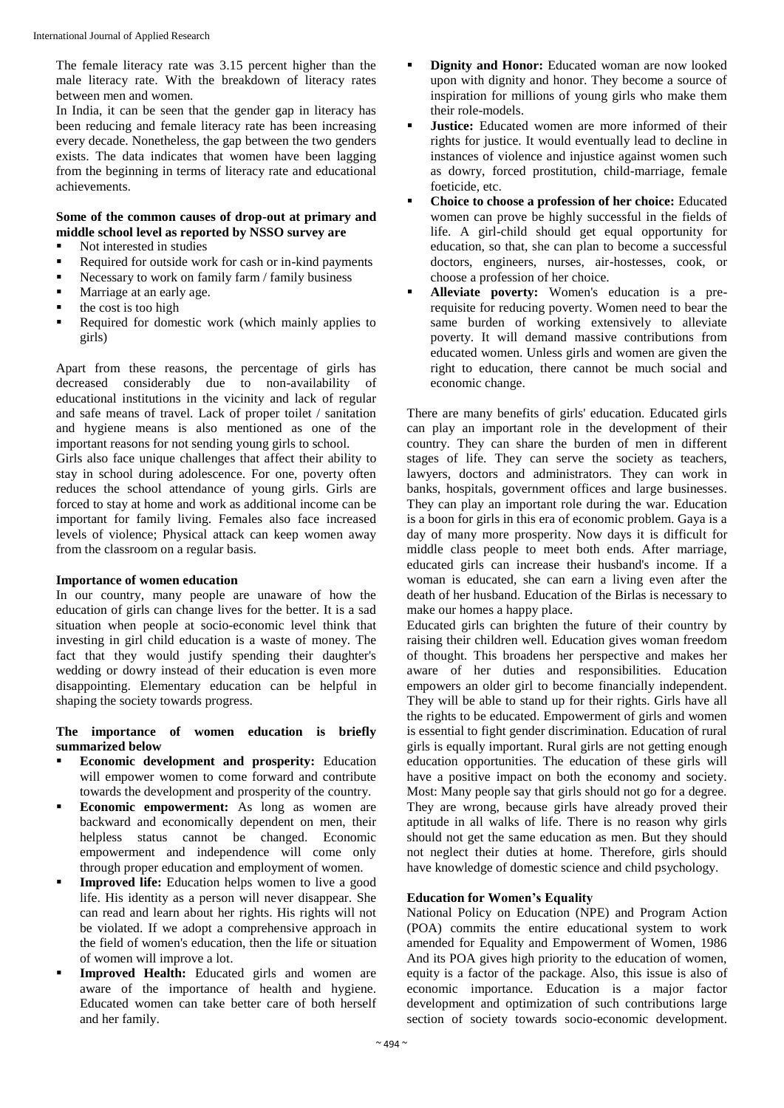The female literacy rate was 3.15 percent higher than the male literacy rate. With the breakdown of literacy rates between men and women.

In India, it can be seen that the gender gap in literacy has been reducing and female literacy rate has been increasing every decade. Nonetheless, the gap between the two genders exists. The data indicates that women have been lagging from the beginning in terms of literacy rate and educational achievements.

## **Some of the common causes of drop-out at primary and middle school level as reported by NSSO survey are**

- Not interested in studies
- Required for outside work for cash or in-kind payments
- Necessary to work on family farm / family business
- Marriage at an early age.
- the cost is too high
- Required for domestic work (which mainly applies to girls)

Apart from these reasons, the percentage of girls has decreased considerably due to non-availability of educational institutions in the vicinity and lack of regular and safe means of travel. Lack of proper toilet / sanitation and hygiene means is also mentioned as one of the important reasons for not sending young girls to school.

Girls also face unique challenges that affect their ability to stay in school during adolescence. For one, poverty often reduces the school attendance of young girls. Girls are forced to stay at home and work as additional income can be important for family living. Females also face increased levels of violence; Physical attack can keep women away from the classroom on a regular basis.

## **Importance of women education**

In our country, many people are unaware of how the education of girls can change lives for the better. It is a sad situation when people at socio-economic level think that investing in girl child education is a waste of money. The fact that they would justify spending their daughter's wedding or dowry instead of their education is even more disappointing. Elementary education can be helpful in shaping the society towards progress.

#### **The importance of women education is briefly summarized below**

- **Economic development and prosperity:** Education will empower women to come forward and contribute towards the development and prosperity of the country.
- **Economic empowerment:** As long as women are backward and economically dependent on men, their helpless status cannot be changed. Economic empowerment and independence will come only through proper education and employment of women.
- **Improved life:** Education helps women to live a good life. His identity as a person will never disappear. She can read and learn about her rights. His rights will not be violated. If we adopt a comprehensive approach in the field of women's education, then the life or situation of women will improve a lot.
- **Improved Health:** Educated girls and women are aware of the importance of health and hygiene. Educated women can take better care of both herself and her family.
- **Dignity and Honor:** Educated woman are now looked upon with dignity and honor. They become a source of inspiration for millions of young girls who make them their role-models.
- **Justice:** Educated women are more informed of their rights for justice. It would eventually lead to decline in instances of violence and injustice against women such as dowry, forced prostitution, child-marriage, female foeticide, etc.
- **Choice to choose a profession of her choice:** Educated women can prove be highly successful in the fields of life. A girl-child should get equal opportunity for education, so that, she can plan to become a successful doctors, engineers, nurses, air-hostesses, cook, or choose a profession of her choice.
- **Alleviate poverty:** Women's education is a prerequisite for reducing poverty. Women need to bear the same burden of working extensively to alleviate poverty. It will demand massive contributions from educated women. Unless girls and women are given the right to education, there cannot be much social and economic change.

There are many benefits of girls' education. Educated girls can play an important role in the development of their country. They can share the burden of men in different stages of life. They can serve the society as teachers, lawyers, doctors and administrators. They can work in banks, hospitals, government offices and large businesses. They can play an important role during the war. Education is a boon for girls in this era of economic problem. Gaya is a day of many more prosperity. Now days it is difficult for middle class people to meet both ends. After marriage, educated girls can increase their husband's income. If a woman is educated, she can earn a living even after the death of her husband. Education of the Birlas is necessary to make our homes a happy place.

Educated girls can brighten the future of their country by raising their children well. Education gives woman freedom of thought. This broadens her perspective and makes her aware of her duties and responsibilities. Education empowers an older girl to become financially independent. They will be able to stand up for their rights. Girls have all the rights to be educated. Empowerment of girls and women is essential to fight gender discrimination. Education of rural girls is equally important. Rural girls are not getting enough education opportunities. The education of these girls will have a positive impact on both the economy and society. Most: Many people say that girls should not go for a degree. They are wrong, because girls have already proved their aptitude in all walks of life. There is no reason why girls should not get the same education as men. But they should not neglect their duties at home. Therefore, girls should have knowledge of domestic science and child psychology.

## **Education for Women's Equality**

National Policy on Education (NPE) and Program Action (POA) commits the entire educational system to work amended for Equality and Empowerment of Women, 1986 And its POA gives high priority to the education of women, equity is a factor of the package. Also, this issue is also of economic importance. Education is a major factor development and optimization of such contributions large section of society towards socio-economic development.